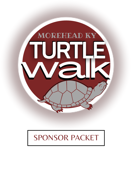

# SPONSOR PACKET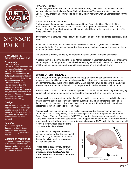

# **SPONSOR** PACKET

#### **OWNERSHIP & SELECTION PROCESS**

#### *Ownership*

Morehead-Rowan County Tourism will retain ownership and insurance of the turtles until they are delivered and installed at the sponsor's chosen location. At that point, the sponsor will retain ownership of the turtle by signing a contract relinquishing Morehead-Rowan County Tourism as owner(s). The contract will serve as an agreement for 99 years. (*Please note, the install location must be pre-approved based on local and state guidelines including ordinances and coding.)*

#### *Design*

If the design changes from the original proposal, a new design must be submitted. If design changes and the new proposal is not submitted, the artists will not receive the final artist fee payment.

#### *Selection*

An anonymous jury will thoroughly review all design submissions and if needed, schedule meetings with artists to discuss.

#### *Damage or Weathering*

The statue becomes the property of the sponsor and therefore damages and weathering will be handled by the sponsor after the initial statue is placed.

### **PROJECT BRIEF**

In July 2014, Morehead was certified as the third Kentucky Trail Town. The certification came two weeks before the Sheltowee Trace National Recreation Trail was re-routed down Main Street. Today, Morehead continues to be the only city in Kentucky with a national recreation trail on Main Street.

#### *A little history about the turtle:*

Sheltowee was the name given to early explorer, Daniel Boone, by Chief Blackfish of the Shawnee Indians. His name was made official in 1778 upon adoption into the tribe. Chief Blackfish thought Boone had broad shoulders and looked like a turtle, hence the meaning of the name Sheltowee, big turtle.

If you follow the Sheltowee Trace NRT, you see a striking logo, turtles and more specifically land turtles.

In the spirit of the turtle, an idea was formed to create statues throughout the community honoring the turtle. The most unique part of the program, local and regional artists are invited to paint and embellish turtles.

The program is partially funded by the Morehead-Rowan County Tourism Commission.

A special thanks to LexArts and the Horse Mania program in Lexington, Kentucky for sharing the various aspects of their program. We wholeheartedly agree with their creation of Horse Mania, "instill in the Lexington community an understanding and enjoyment of public art."

#### **SPONSORSHIP DETAILS**

A business, non-profit, government, community group or individual can sponsor a turtle. This unique opportunity will allow a statue to be placed throughout the community business as an official "Morehead KY Turtle Walk" destination. Each destination will be added to all marketing representing a stop on the turtle walk \*. Each sponsorship funds an artists to paint a turtle.

Sponsors will be able to sponsor a turtle for approved placement of their choosing. An identifying plaque with the name of the turtle, the artist and the sponsor will be affixed near the statue.

Sponsors will be acknowledged during the official unveiling ceremony, with an individual plaque affixed near the statue, publicity on social media, listing on all printed materials, inclusion in digital promotions, feature on Turtle Walk web page on the Visit Morehead website and any additional promotion specific to the Turtle Walk.

Sponsors will receive a marketing kit for exclusive use as part of the sponsorship package. Others interested in using the logo and/or marketing materials must keep in mind, Morehead-Rowan County Tourism Commission (MRCTC) has started the process of trademarking the Turtle Walk with the Kentucky Secretary of State. If approved, no use of the Turtle Walk name or brand may be used without the express written permission of MRCTC. Additionally, sponsors will

receive a window/door decal detailing "Trail User Friendly Business."

(\*) The most crucial piece of being a sponsor is understanding this is a tourist attraction so by advertising each turtle destination, visitors will be encouraged to visit each location.

*Please note: a sponsor may contract directly with an artist but such private arrangements will not reduce the sponsorship fee or increase the artist supply expense.*